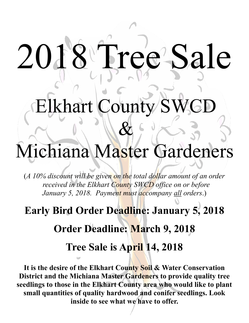# 2018 Tree Sale

Elkhart County S

# Michiana Master Gardeners

&

(*A 10% discount will be given on the total dollar amount of an order received in the Elkhart County SWCD office on or before January 5, 2018. Payment must accompany all orders*.)

## **Early Bird Order Deadline: January 5, 2018**

## **Order Deadline: March 9, 2018**

### **Tree Sale is April 14, 2018**

**It is the desire of the Elkhart County Soil & Water Conservation District and the Michiana Master Gardeners to provide quality tree seedlings to those in the Elkhart County area who would like to plant small quantities of quality hardwood and conifer seedlings. Look inside to see what we have to offer.**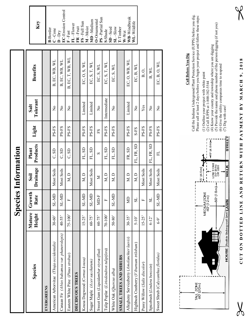**Species Information Species Information**

| Species                                       | Mature<br>Height | Growth<br>Rate        | Drainage<br>$\bf \ddot{s}$ oil | Products<br>Plant | Light | Tolerant<br>Salt | Benefits         | Key                                                                               |
|-----------------------------------------------|------------------|-----------------------|--------------------------------|-------------------|-------|------------------|------------------|-----------------------------------------------------------------------------------|
| EVERGREENS                                    |                  |                       |                                |                   |       |                  |                  | <b>B-Border</b>                                                                   |
| American Arborvitae (Thuja occidentalis)      | $30 - 60$        | SL-MD                 | Most Soils                     | C, SD             | PS-FS | $\frac{1}{2}$    | B, EC, WB, WL    | $C$ – $C$ one                                                                     |
| Canaan Fir (Abies balsamea var. phanerolepis) | 40-55'           | SL-MD                 | Most Soils                     | C, SD             | PS-FS | $\tilde{z}$      | B, EC, WB, WL    | <b>EC-Erosion Control</b><br>$\mathbf{D}\mathrm{-}\mathbf{D}\mathrm{r}\mathrm{y}$ |
| Eastern White Pine (Pinus strobus)            | $75 - 100$       | д                     | M, D                           | C, SD             | PS-FS | $\frac{1}{2}$    | B, EC, T, WB, WL | $F - Fast$                                                                        |
| <b>DECIDUOUS TREES</b>                        |                  |                       |                                |                   |       |                  |                  | FL-Flower<br>FR-Fruit                                                             |
| Kousa Dogwood (Cornus kousa)                  | $15 - 25$        | SL-MD                 | M, D                           | FL, SD            | PS-FS | Limited          | EC, O, S, WL     | FS-Full Sun<br>M-Moist                                                            |
| Sugar Maple (A cer saccharum)                 | $60 - 75$        | <b>CIN-TS</b>         | Most Soils                     | FL, SD            | PS-FS | Limited          | EC, S, T, $WL$   | MD-Medium                                                                         |
| Sweet Gum (Liquidambar styraciflua)           | $60 - 75$        | <b>ND-F</b>           | ⋝                              | $\mathcal{D}$     | ES    | $\frac{1}{2}$    | EC, S, WL        | PS-Partial Sun<br><b>D-Ornamental</b>                                             |
| Tulip Poplar (Liriodendron tulipifera)        | $70 - 100$       | щ                     | M, D                           | FL, SD            | PS-FS | Intermediate     | EC, S, T, $WL$   | S-Shade                                                                           |
| White Oak (Quercus alba)                      | $50 - 80$        | SL-MD                 | M, D                           | FL, SD            | PS-FS | $\tilde{z}$      | EC, S, $WL$      | $SL-Slow$<br>$SD - S$ eed                                                         |
| SMALL TREES AND SHRUBS                        |                  |                       |                                |                   |       |                  |                  | <b>Timber</b>                                                                     |
| Allegheny Serviceberry (Amelanchier laevis)   | $30 - 35$        | g                     | M.D                            | FR, SD            | PS-FS | Limited          | EC, O, WB, WL    | WB-Windbreak<br>W-Wet                                                             |
| Highbush Cranberry (Viburnum trilobum)        | $5 - 10$         | $\overline{\text{S}}$ | M, D                           | FL, FR, SD        | S-FS  | $\frac{1}{2}$    | EC, B, WL        | $W_{L-Wildlife}$                                                                  |
| Pussy Willow (Salix discolor)                 | $15 - 25$        | щ                     | Most Soils                     |                   | PS-FS | Yes              | Β, O,            |                                                                                   |
| Spicebush (Lindera benzoin)                   | $6 - 12$         | $\overline{\text{S}}$ | Most Soils                     | FL, FR, SD        | PS-FS | $\frac{1}{2}$    | B, WL            |                                                                                   |
| Sweet Shrub (Calycanthus floridus)            | $6-9$            | <b>CIV-TS</b>         | Most Soils                     | 已                 | PS-FS | $\frac{1}{2}$    | EC, B, O, WL     |                                                                                   |
|                                               |                  |                       |                                |                   |       |                  |                  |                                                                                   |



## **Call Before You Dig Call Before You Dig**

Call the Indiana Underground Plant Protection Service (IUPPS) before you dig. Call the Indiana Underground Plant Protection Service (IUPPS) before you dig.<br>Please call at least 2 days before you begin your project and follow these steps: Please call at least 2 days before you begin your project and follow these steps:

(1) Outline your project with white paint

(1) Outline your project with white paint

- (2) Call IUPPS at 1-800-382-5544
- (2) Call IUPPS at  $1-800-382-5544$ <br>(4) Know your county and township where you are digging<br>(5) Provide the name and phone number of the person digging (if not you)
	- (4) Know your county and township where you are digging
- (5) Provide the name and phone number of the person digging (if not you)
	- (6) Give the utility companies time to respond  $(7)$  Dig with care! (6) Give the utility companies time to respond (7) Dig with care!

CUT ON DOTTED LINE AND RETURN WITH PAYMENT BY MARCH 9, 2018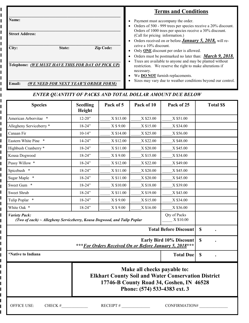|                                                   | <b>Terms and Conditions</b>                                                                                                                                   |
|---------------------------------------------------|---------------------------------------------------------------------------------------------------------------------------------------------------------------|
| Name:                                             | Payment must accompany the order.<br>Orders of 500 - 999 trees per species receive a 20% discount.                                                            |
| <b>Street Address:</b>                            | Orders of 1000 trees per species receive a 30% discount.<br>(Call for pricing information.)<br>Orders received on or before <b>January 5, 2018</b> , will re- |
| City:<br><b>Zip Code:</b><br>State:               | ceive a 10% discount.<br>Only <b>ONE</b> discount per order is allowed.<br>Orders must be postmarked no later than: <i>March</i> 9, 2018.                     |
| Telephone: (WE MUST HAVE THIS FOR DAY OF PICK UP) | Trees are available to anyone and may be planted without<br>restriction. We reserve the right to make alterations if<br>necessary.                            |
| (WE NEED FOR NEXT YEAR'S ORDER FORM)<br>Email:    | We <b>DO NOT</b> furnish replacements.<br>Sizes may vary due to weather conditions beyond our control.                                                        |

#### ENTER QUANTITY OF PACKS AND TOTAL DOLLAR AMOUNT DUE BELOW

| <b>Species</b>                  | <b>Seedling</b><br>Height                                                                                                                                             | <b>Total SS</b> |           |           |  |  |
|---------------------------------|-----------------------------------------------------------------------------------------------------------------------------------------------------------------------|-----------------|-----------|-----------|--|--|
| American Arborvitae *           | $12 - 20$ "                                                                                                                                                           | X \$13.00       | X \$23.00 | X \$51.00 |  |  |
| Allegheny Serviceberry *        | $18 - 24"$                                                                                                                                                            | X \$ 9.00       | X \$15.00 | X \$34.00 |  |  |
| Canaan Fir                      | $10 - 14"$                                                                                                                                                            |                 |           |           |  |  |
| Eastern White Pine *            | $14 - 24$ "                                                                                                                                                           |                 |           |           |  |  |
| Highbush Cranberry *            | $18 - 24$ "                                                                                                                                                           | X \$11.00       | X \$20.00 | X \$45.00 |  |  |
| Kousa Dogwood                   | $18 - 24$ "                                                                                                                                                           | X \$ 9.00       | X \$15.00 | X \$34.00 |  |  |
| Pussy Willow *                  | $18 - 24$ "                                                                                                                                                           | X \$12.00       | X \$22.00 | X \$49.00 |  |  |
| Spicebush *                     | $18 - 24$ "                                                                                                                                                           | X \$11.00       | X \$20.00 | X \$45.00 |  |  |
| Sugar Maple *                   | $18 - 24"$                                                                                                                                                            | X \$11.00       | X \$20.00 | X \$45.00 |  |  |
| Sweet Gum *                     | $18 - 24"$                                                                                                                                                            | X \$10.00       | X \$18.00 | X \$39.00 |  |  |
| Sweet Shrub                     | $18 - 24"$                                                                                                                                                            | X \$11.00       | X \$19.00 | X \$43.00 |  |  |
| Tulip Poplar *                  | $18 - 24$ "                                                                                                                                                           | X \$ 9.00       | X \$15.00 | X \$34.00 |  |  |
| White Oak *                     | $18 - 24$ "                                                                                                                                                           | X \$ 9.00       | X \$16.00 | X \$36.00 |  |  |
| <b>Variety Pack:</b>            | Qty of Packs<br>X \$10.00<br>(Two of each) ~ Allegheny Serviceberry, Kousa Dogwood, and Tulip Poplar                                                                  |                 |           |           |  |  |
|                                 | $\mathbf S$                                                                                                                                                           |                 |           |           |  |  |
|                                 | $\mathbf S$                                                                                                                                                           |                 |           |           |  |  |
| *Native to Indiana              | $\boldsymbol{\mathsf{S}}$                                                                                                                                             |                 |           |           |  |  |
|                                 | Make all checks payable to:<br><b>Elkhart County Soil and Water Conservation District</b><br>17746-B County Road 34, Goshen, IN 46528<br>Phone: (574) 533-4383 ext. 3 |                 |           |           |  |  |
| <b>OFFICE USE:</b><br>$CHECK$ # | CONFIRMATION#                                                                                                                                                         |                 |           |           |  |  |